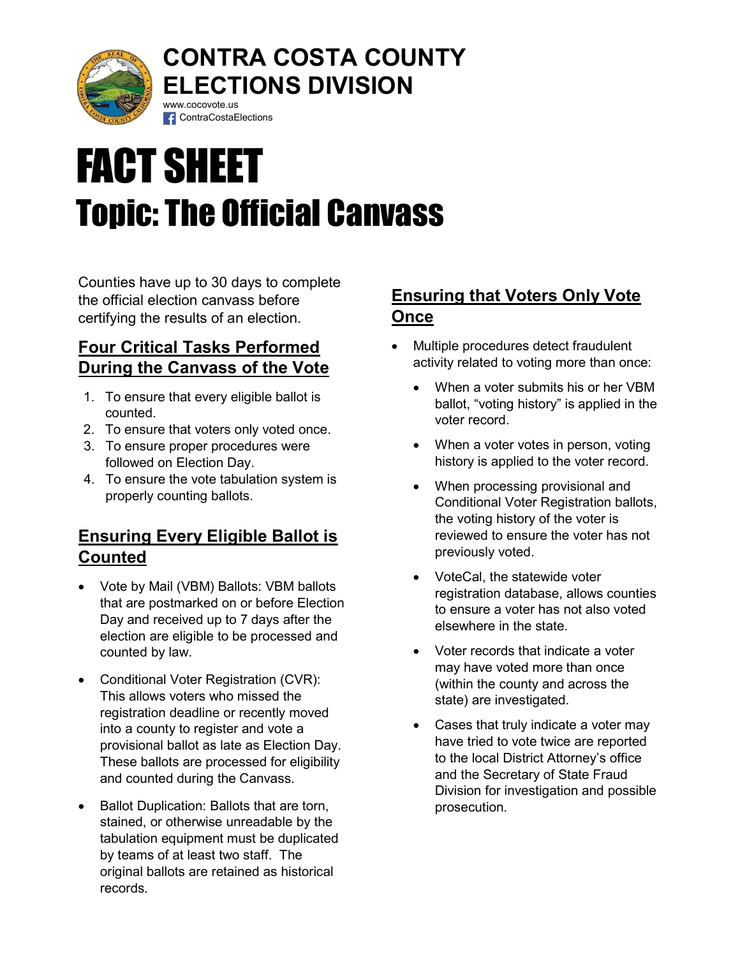

## CONTRA COSTA COUNTY ELECTIONS DIVISION www.cocovote.us

# FACT SHEET Topic: The Official Canvass

Counties have up to 30 days to complete the official election canvass before certifying the results of an election.

**f** ContraCostaElections

### Four Critical Tasks Performed During the Canvass of the Vote

- 1. To ensure that every eligible ballot is counted.
- 2. To ensure that voters only voted once.
- 3. To ensure proper procedures were followed on Election Day.
- 4. To ensure the vote tabulation system is properly counting ballots.

## Ensuring Every Eligible Ballot is Counted

- Vote by Mail (VBM) Ballots: VBM ballots that are postmarked on or before Election Day and received up to 7 days after the election are eligible to be processed and counted by law.
- Conditional Voter Registration (CVR): This allows voters who missed the registration deadline or recently moved into a county to register and vote a provisional ballot as late as Election Day. These ballots are processed for eligibility and counted during the Canvass.
- Ballot Duplication: Ballots that are torn, stained, or otherwise unreadable by the tabulation equipment must be duplicated by teams of at least two staff. The original ballots are retained as historical records.

## Ensuring that Voters Only Vote Once

- Multiple procedures detect fraudulent activity related to voting more than once:
	- When a voter submits his or her VBM ballot, "voting history" is applied in the voter record.
	- When a voter votes in person, voting history is applied to the voter record.
	- When processing provisional and Conditional Voter Registration ballots, the voting history of the voter is reviewed to ensure the voter has not previously voted.
	- VoteCal, the statewide voter registration database, allows counties to ensure a voter has not also voted elsewhere in the state.
	- Voter records that indicate a voter may have voted more than once (within the county and across the state) are investigated.
	- Cases that truly indicate a voter may have tried to vote twice are reported to the local District Attorney's office and the Secretary of State Fraud Division for investigation and possible prosecution.